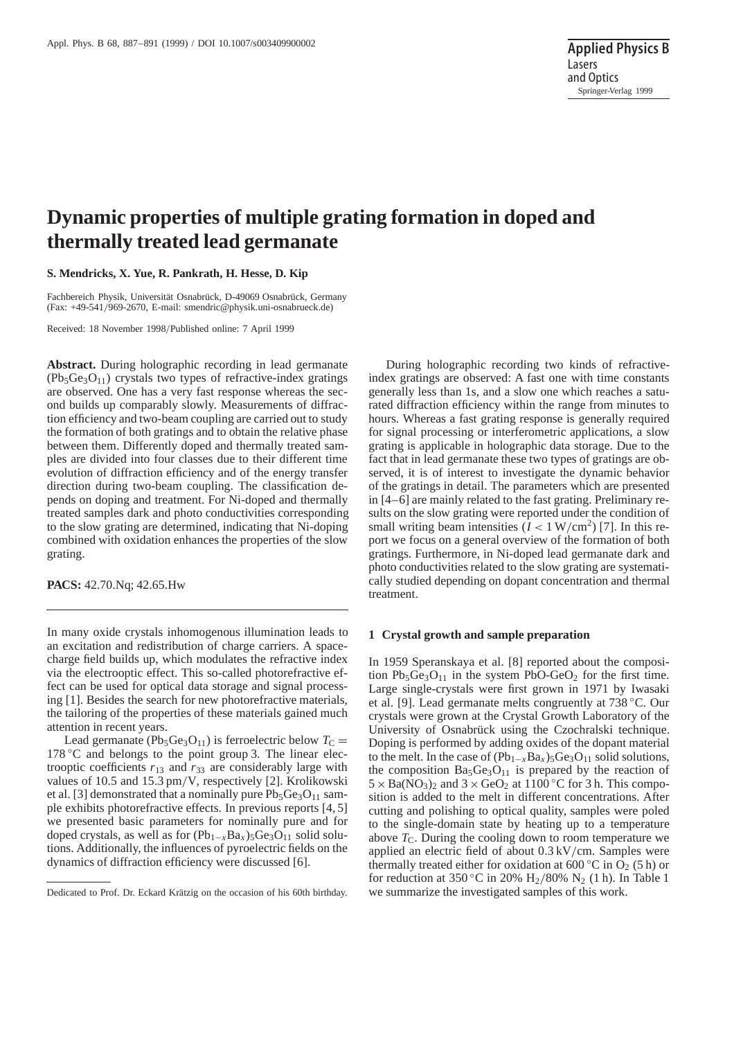# **Dynamic properties of multiple grating formation in doped and thermally treated lead germanate**

## **S. Mendricks, X. Yue, R. Pankrath, H. Hesse, D. Kip**

Fachbereich Physik, Universität Osnabrück, D-49069 Osnabrück, Germany (Fax: +49-541/969-2670, E-mail: smendric@physik.uni-osnabrueck.de)

Received: 18 November 1998/Published online: 7 April 1999

**Abstract.** During holographic recording in lead germanate  $(Pb_5Ge_3O_{11})$  crystals two types of refractive-index gratings are observed. One has a very fast response whereas the second builds up comparably slowly. Measurements of diffraction efficiency and two-beam coupling are carried out to study the formation of both gratings and to obtain the relative phase between them. Differently doped and thermally treated samples are divided into four classes due to their different time evolution of diffraction efficiency and of the energy transfer direction during two-beam coupling. The classification depends on doping and treatment. For Ni-doped and thermally treated samples dark and photo conductivities corresponding to the slow grating are determined, indicating that Ni-doping combined with oxidation enhances the properties of the slow grating.

**PACS:** 42.70.Nq; 42.65.Hw

In many oxide crystals inhomogenous illumination leads to an excitation and redistribution of charge carriers. A spacecharge field builds up, which modulates the refractive index via the electrooptic effect. This so-called photorefractive effect can be used for optical data storage and signal processing [1]. Besides the search for new photorefractive materials, the tailoring of the properties of these materials gained much attention in recent years.

Lead germanate (Pb<sub>5</sub>Ge<sub>3</sub>O<sub>11</sub>) is ferroelectric below  $T_C$  =  $178\textdegree$ C and belongs to the point group 3. The linear electrooptic coefficients  $r_{13}$  and  $r_{33}$  are considerably large with values of 10.5 and 15.3 pm/V, respectively [2]. Krolikowski et al. [3] demonstrated that a nominally pure  $Pb_5Ge_3O_{11}$  sample exhibits photorefractive effects. In previous reports [4, 5] we presented basic parameters for nominally pure and for doped crystals, as well as for (Pb<sub>1−*x*</sub>Ba<sub>*x*</sub>)<sub>5</sub>Ge<sub>3</sub>O<sub>11</sub> solid solutions. Additionally, the influences of pyroelectric fields on the dynamics of diffraction efficiency were discussed [6].

During holographic recording two kinds of refractiveindex gratings are observed: A fast one with time constants generally less than 1s, and a slow one which reaches a saturated diffraction efficiency within the range from minutes to hours. Whereas a fast grating response is generally required for signal processing or interferometric applications, a slow grating is applicable in holographic data storage. Due to the fact that in lead germanate these two types of gratings are observed, it is of interest to investigate the dynamic behavior of the gratings in detail. The parameters which are presented in [4–6] are mainly related to the fast grating. Preliminary results on the slow grating were reported under the condition of small writing beam intensities  $(I < 1 W/cm<sup>2</sup>)$  [7]. In this report we focus on a general overview of the formation of both gratings. Furthermore, in Ni-doped lead germanate dark and photo conductivities related to the slow grating are systematically studied depending on dopant concentration and thermal treatment.

#### **1 Crystal growth and sample preparation**

In 1959 Speranskaya et al. [8] reported about the composition  $Pb_5Ge_3O_{11}$  in the system  $PbO-GeO_2$  for the first time. Large single-crystals were first grown in 1971 by Iwasaki et al. [9]. Lead germanate melts congruently at 738 ◦C. Our crystals were grown at the Crystal Growth Laboratory of the University of Osnabrück using the Czochralski technique. Doping is performed by adding oxides of the dopant material to the melt. In the case of  $(Pb_{1-x}Ba_x)$ <sub>5</sub>Ge<sub>3</sub>O<sub>11</sub> solid solutions, the composition  $Ba<sub>5</sub>Ge<sub>3</sub>O<sub>11</sub>$  is prepared by the reaction of  $5 \times Ba(NO<sub>3</sub>)<sub>2</sub>$  and  $3 \times GeO<sub>2</sub>$  at 1100 °C for 3 h. This composition is added to the melt in different concentrations. After cutting and polishing to optical quality, samples were poled to the single-domain state by heating up to a temperature above  $T_{\rm C}$ . During the cooling down to room temperature we applied an electric field of about 0.3 kV/cm. Samples were thermally treated either for oxidation at 600 °C in  $O_2$  (5 h) or for reduction at 350 °C in 20% H<sub>2</sub>/80% N<sub>2</sub> (1 h). In Table 1 we summarize the investigated samples of this work.

Dedicated to Prof. Dr. Eckard Krätzig on the occasion of his 60th birthday.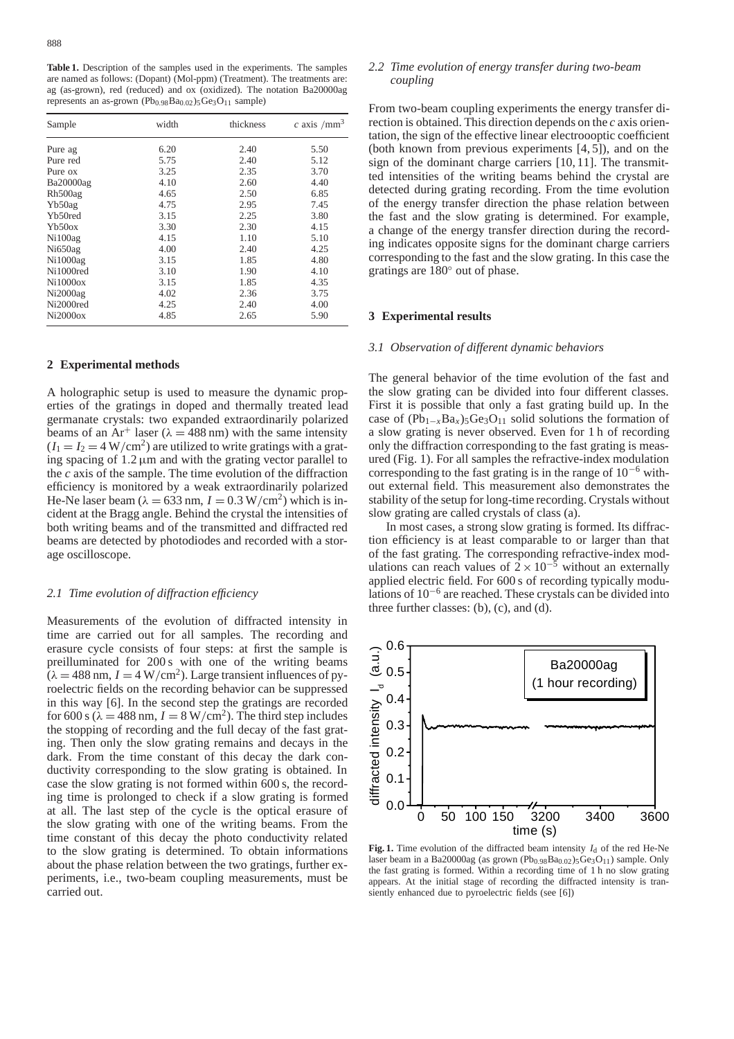**Table 1.** Description of the samples used in the experiments. The samples are named as follows: (Dopant) (Mol-ppm) (Treatment). The treatments are: ag (as-grown), red (reduced) and ox (oxidized). The notation Ba20000ag represents an as-grown  $(Pb_{0.98}Ba_{0.02})_5Ge_3O_{11}$  sample)

| Sample              | width | thickness | c axis /mm <sup>3</sup> |
|---------------------|-------|-----------|-------------------------|
| Pure ag             | 6.20  | 2.40      | 5.50                    |
| Pure red            | 5.75  | 2.40      | 5.12                    |
| Pure ox             | 3.25  | 2.35      | 3.70                    |
| Ba20000ag           | 4.10  | 2.60      | 4.40                    |
| Rh500ag             | 4.65  | 2.50      | 6.85                    |
| Yb50ag              | 4.75  | 2.95      | 7.45                    |
| Yb50red             | 3.15  | 2.25      | 3.80                    |
| Yb50ox              | 3.30  | 2.30      | 4.15                    |
| Ni100a <sub>g</sub> | 4.15  | 1.10      | 5.10                    |
| Ni650ag             | 4.00  | 2.40      | 4.25                    |
| Ni1000ag            | 3.15  | 1.85      | 4.80                    |
| Ni1000red           | 3.10  | 1.90      | 4.10                    |
| Ni1000ox            | 3.15  | 1.85      | 4.35                    |
| Ni2000ag            | 4.02  | 2.36      | 3.75                    |
| Ni2000red           | 4.25  | 2.40      | 4.00                    |
| Ni2000ox            | 4.85  | 2.65      | 5.90                    |

#### **2 Experimental methods**

A holographic setup is used to measure the dynamic properties of the gratings in doped and thermally treated lead germanate crystals: two expanded extraordinarily polarized beams of an Ar<sup>+</sup> laser ( $\lambda = 488$  nm) with the same intensity  $(I_1 = I_2 = 4 \text{ W/cm}^2)$  are utilized to write gratings with a grating spacing of  $1.2 \mu m$  and with the grating vector parallel to the *c* axis of the sample. The time evolution of the diffraction efficiency is monitored by a weak extraordinarily polarized He-Ne laser beam ( $\lambda = 633$  nm,  $I = 0.3$  W/cm<sup>2</sup>) which is incident at the Bragg angle. Behind the crystal the intensities of both writing beams and of the transmitted and diffracted red beams are detected by photodiodes and recorded with a storage oscilloscope.

#### *2.1 Time evolution of diffraction efficiency*

Measurements of the evolution of diffracted intensity in time are carried out for all samples. The recording and erasure cycle consists of four steps: at first the sample is preilluminated for 200 s with one of the writing beams  $(\lambda = 488 \text{ nm}, I = 4 \text{ W/cm}^2)$ . Large transient influences of pyroelectric fields on the recording behavior can be suppressed in this way [6]. In the second step the gratings are recorded for 600 s ( $\lambda = 488$  nm,  $I = 8$  W/cm<sup>2</sup>). The third step includes the stopping of recording and the full decay of the fast grating. Then only the slow grating remains and decays in the dark. From the time constant of this decay the dark conductivity corresponding to the slow grating is obtained. In case the slow grating is not formed within 600 s, the recording time is prolonged to check if a slow grating is formed at all. The last step of the cycle is the optical erasure of the slow grating with one of the writing beams. From the time constant of this decay the photo conductivity related to the slow grating is determined. To obtain informations about the phase relation between the two gratings, further experiments, i.e., two-beam coupling measurements, must be carried out.

#### *2.2 Time evolution of energy transfer during two-beam coupling*

From two-beam coupling experiments the energy transfer direction is obtained. This direction depends on the *c* axis orientation, the sign of the effective linear electroooptic coefficient (both known from previous experiments [4, 5]), and on the sign of the dominant charge carriers [10, 11]. The transmitted intensities of the writing beams behind the crystal are detected during grating recording. From the time evolution of the energy transfer direction the phase relation between the fast and the slow grating is determined. For example, a change of the energy transfer direction during the recording indicates opposite signs for the dominant charge carriers corresponding to the fast and the slow grating. In this case the gratings are 180◦ out of phase.

### **3 Experimental results**

#### *3.1 Observation of different dynamic behaviors*

The general behavior of the time evolution of the fast and the slow grating can be divided into four different classes. First it is possible that only a fast grating build up. In the case of  $(Pb_{1-x}Ba_x)$ <sub>5</sub>Ge<sub>3</sub>O<sub>11</sub> solid solutions the formation of a slow grating is never observed. Even for 1 h of recording only the diffraction corresponding to the fast grating is measured (Fig. 1). For all samples the refractive-index modulation corresponding to the fast grating is in the range of  $10^{-6}$  without external field. This measurement also demonstrates the stability of the setup for long-time recording. Crystals without slow grating are called crystals of class (a).

In most cases, a strong slow grating is formed. Its diffraction efficiency is at least comparable to or larger than that of the fast grating. The corresponding refractive-index modulations can reach values of  $2 \times 10^{-5}$  without an externally applied electric field. For 600 s of recording typically modulations of 10−<sup>6</sup> are reached. These crystals can be divided into three further classes: (b), (c), and (d).



**Fig. 1.** Time evolution of the diffracted beam intensity  $I_d$  of the red He-Ne laser beam in a Ba20000ag (as grown  $(Pb_{0.98}Ba_{0.02})_5Ge_3O_{11}$ ) sample. Only the fast grating is formed. Within a recording time of 1 h no slow grating appears. At the initial stage of recording the diffracted intensity is transiently enhanced due to pyroelectric fields (see [6])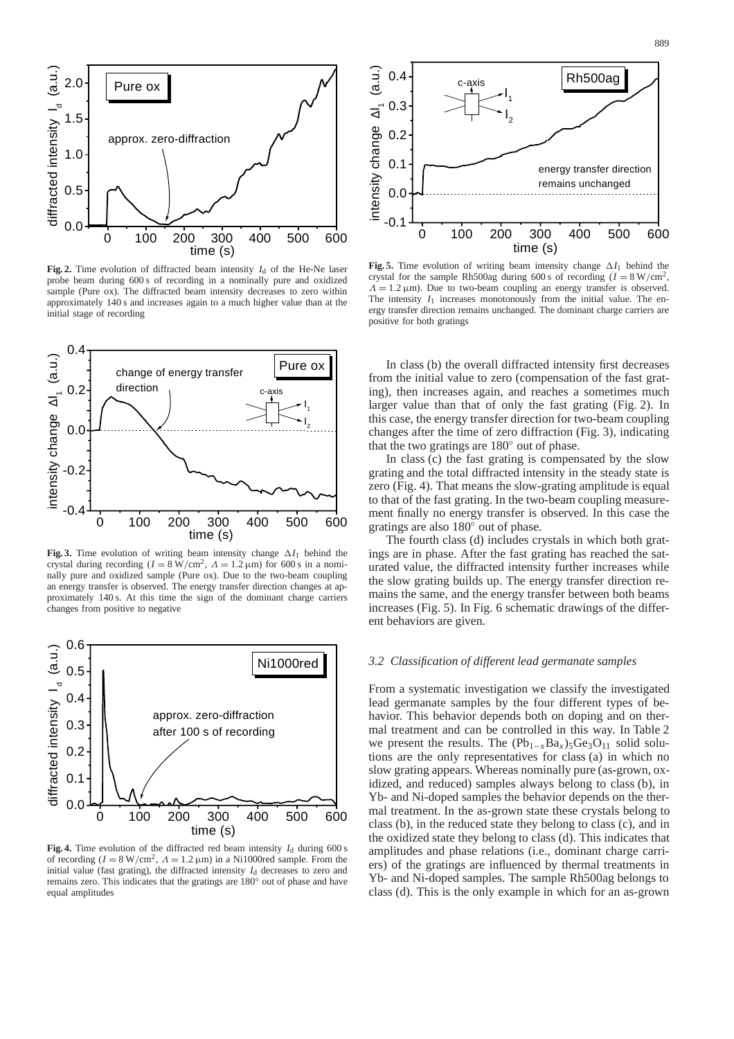

**Fig. 2.** Time evolution of diffracted beam intensity  $I_d$  of the He-Ne laser probe beam during 600 s of recording in a nominally pure and oxidized sample (Pure ox). The diffracted beam intensity decreases to zero within approximately 140 s and increases again to a much higher value than at the initial stage of recording



**Fig. 3.** Time evolution of writing beam intensity change ∆*I*<sup>1</sup> behind the crystal during recording  $(I = 8 \text{ W/cm}^2$ ,  $\Lambda = 1.2 \text{ }\mu\text{m}$ ) for 600 s in a nominally pure and oxidized sample (Pure ox). Due to the two-beam coupling an energy transfer is observed. The energy transfer direction changes at approximately 140 s. At this time the sign of the dominant charge carriers changes from positive to negative



**Fig. 4.** Time evolution of the diffracted red beam intensity  $I_d$  during 600 s of recording  $(I = 8 \text{ W/cm}^2$ ,  $\Lambda = 1.2 \text{ }\mu\text{m}$ ) in a Ni1000red sample. From the initial value (fast grating), the diffracted intensity  $I_d$  decreases to zero and remains zero. This indicates that the gratings are 180◦ out of phase and have equal amplitudes



**Fig. 5.** Time evolution of writing beam intensity change  $\Delta I_1$  behind the crystal for the sample Rh500ag during 600 s of recording  $(I = 8 \text{ W/cm}^2)$ ,  $\Lambda = 1.2 \mu m$ ). Due to two-beam coupling an energy transfer is observed. The intensity *I*<sup>1</sup> increases monotonously from the initial value. The energy transfer direction remains unchanged. The dominant charge carriers are positive for both gratings

In class (b) the overall diffracted intensity first decreases from the initial value to zero (compensation of the fast grating), then increases again, and reaches a sometimes much larger value than that of only the fast grating (Fig. 2). In this case, the energy transfer direction for two-beam coupling changes after the time of zero diffraction (Fig. 3), indicating that the two gratings are 180◦ out of phase.

In class (c) the fast grating is compensated by the slow grating and the total diffracted intensity in the steady state is zero (Fig. 4). That means the slow-grating amplitude is equal to that of the fast grating. In the two-beam coupling measurement finally no energy transfer is observed. In this case the gratings are also 180◦ out of phase.

The fourth class (d) includes crystals in which both gratings are in phase. After the fast grating has reached the saturated value, the diffracted intensity further increases while the slow grating builds up. The energy transfer direction remains the same, and the energy transfer between both beams increases (Fig. 5). In Fig. 6 schematic drawings of the different behaviors are given.

## *3.2 Classification of different lead germanate samples*

From a systematic investigation we classify the investigated lead germanate samples by the four different types of behavior. This behavior depends both on doping and on thermal treatment and can be controlled in this way. In Table 2 we present the results. The  $(Pb_{1-x}Ba_x)_{5}Ge_3O_{11}$  solid solutions are the only representatives for class (a) in which no slow grating appears. Whereas nominally pure (as-grown, oxidized, and reduced) samples always belong to class (b), in Yb- and Ni-doped samples the behavior depends on the thermal treatment. In the as-grown state these crystals belong to class (b), in the reduced state they belong to class (c), and in the oxidized state they belong to class (d). This indicates that amplitudes and phase relations (i.e., dominant charge carriers) of the gratings are influenced by thermal treatments in Yb- and Ni-doped samples. The sample Rh500ag belongs to class (d). This is the only example in which for an as-grown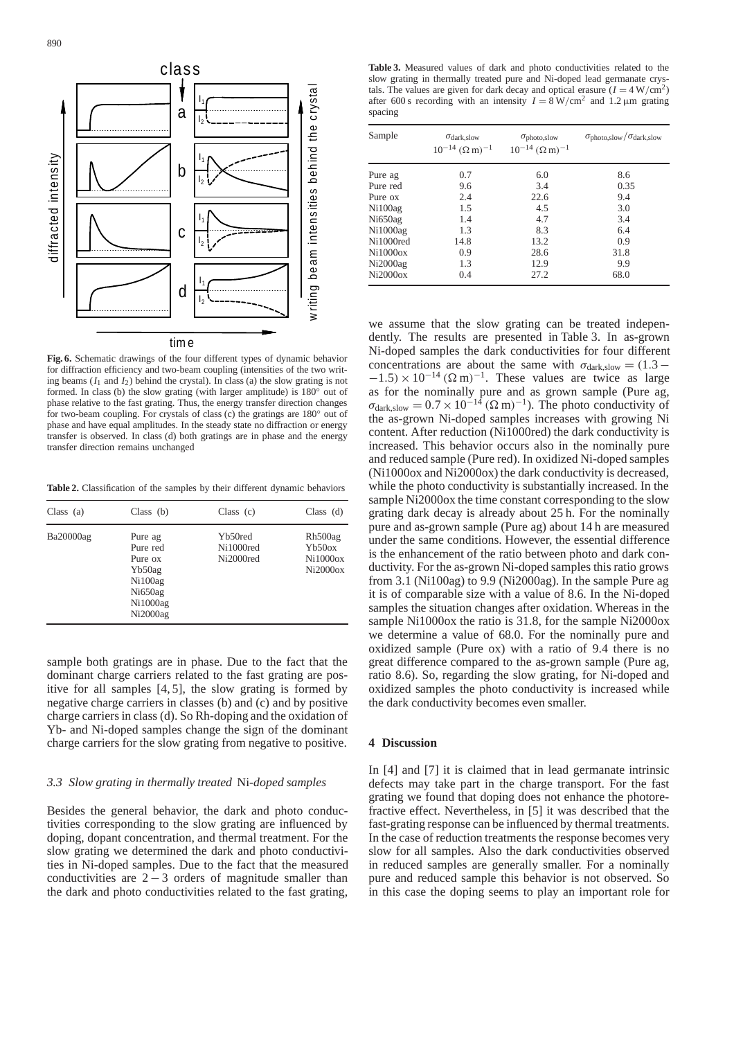

**Fig. 6.** Schematic drawings of the four different types of dynamic behavior for diffraction efficiency and two-beam coupling (intensities of the two writing beams  $(I_1 \text{ and } I_2)$  behind the crystal). In class (a) the slow grating is not formed. In class (b) the slow grating (with larger amplitude) is  $180^\circ$  out of phase relative to the fast grating. Thus, the energy transfer direction changes for two-beam coupling. For crystals of class (c) the gratings are 180◦ out of phase and have equal amplitudes. In the steady state no diffraction or energy transfer is observed. In class (d) both gratings are in phase and the energy transfer direction remains unchanged

**Table 2.** Classification of the samples by their different dynamic behaviors

| Class $(a)$ | Class $(b)$                                                                                                    | Class $(c)$                       | Class $(d)$                                           |
|-------------|----------------------------------------------------------------------------------------------------------------|-----------------------------------|-------------------------------------------------------|
| Ba20000ag   | Pure ag<br>Pure red<br>Pure ox<br>Yb50ag<br>Ni100a <sub>g</sub><br>Ni650a <sub>g</sub><br>Ni1000ag<br>Ni2000ag | Yb50red<br>Ni1000red<br>Ni2000red | Rh500ag<br>Yb50ox<br>Ni1000 <sub>ox</sub><br>Ni2000ox |

sample both gratings are in phase. Due to the fact that the dominant charge carriers related to the fast grating are positive for all samples [4, 5], the slow grating is formed by negative charge carriers in classes (b) and (c) and by positive charge carriers in class (d). So Rh-doping and the oxidation of Yb- and Ni-doped samples change the sign of the dominant charge carriers for the slow grating from negative to positive.

## *3.3 Slow grating in thermally treated* Ni*-doped samples*

Besides the general behavior, the dark and photo conductivities corresponding to the slow grating are influenced by doping, dopant concentration, and thermal treatment. For the slow grating we determined the dark and photo conductivities in Ni-doped samples. Due to the fact that the measured conductivities are  $2 - 3$  orders of magnitude smaller than the dark and photo conductivities related to the fast grating,

**Table 3.** Measured values of dark and photo conductivities related to the slow grating in thermally treated pure and Ni-doped lead germanate crystals. The values are given for dark decay and optical erasure  $(I = 4 W/cm^2)$ after 600 s recording with an intensity  $I = 8 \text{ W/cm}^2$  and 1.2  $\mu$ m grating spacing

| Sample              | $\sigma_{dark, slow}$<br>$10^{-14}$ ( $\Omega$ m) <sup>-1</sup> | $\sigma_{\text{photo,slow}}$<br>$10^{-14}$ $(\Omega \text{ m})^{-1}$ | $\sigma_{\text{photo,slow}}/\sigma_{\text{dark,slow}}$ |
|---------------------|-----------------------------------------------------------------|----------------------------------------------------------------------|--------------------------------------------------------|
| Pure ag             | 0.7                                                             | 6.0                                                                  | 8.6                                                    |
| Pure red            | 9.6                                                             | 3.4                                                                  | 0.35                                                   |
| Pure ox             | 2.4                                                             | 22.6                                                                 | 9.4                                                    |
| Ni100a <sub>g</sub> | 1.5                                                             | 4.5                                                                  | 3.0                                                    |
| Ni650ag             | 1.4                                                             | 4.7                                                                  | 3.4                                                    |
| Ni1000ag            | 1.3                                                             | 8.3                                                                  | 6.4                                                    |
| Ni1000red           | 14.8                                                            | 13.2                                                                 | 0.9                                                    |
| Ni1000ox            | 0.9                                                             | 28.6                                                                 | 31.8                                                   |
| Ni2000ag            | 1.3                                                             | 12.9                                                                 | 9.9                                                    |
| Ni2000ox            | 0.4                                                             | 27.2                                                                 | 68.0                                                   |

we assume that the slow grating can be treated independently. The results are presented in Table 3. In as-grown Ni-doped samples the dark conductivities for four different concentrations are about the same with  $\sigma_{dark, slow} = (1.3 -1.5$ ) × 10<sup>-14</sup> ( $\Omega$  m)<sup>-1</sup>. These values are twice as large as for the nominally pure and as grown sample (Pure ag,  $\sigma_{\text{dark,slow}} = 0.7 \times 10^{-14} \, (\Omega \, \text{m})^{-1}$ ). The photo conductivity of the as-grown Ni-doped samples increases with growing Ni content. After reduction (Ni1000red) the dark conductivity is increased. This behavior occurs also in the nominally pure and reduced sample (Pure red). In oxidized Ni-doped samples (Ni1000ox and Ni2000ox) the dark conductivity is decreased, while the photo conductivity is substantially increased. In the sample Ni2000ox the time constant corresponding to the slow grating dark decay is already about 25 h. For the nominally pure and as-grown sample (Pure ag) about 14 h are measured under the same conditions. However, the essential difference is the enhancement of the ratio between photo and dark conductivity. For the as-grown Ni-doped samples this ratio grows from 3.1 (Ni100ag) to 9.9 (Ni2000ag). In the sample Pure ag it is of comparable size with a value of 8.6. In the Ni-doped samples the situation changes after oxidation. Whereas in the sample Ni1000ox the ratio is 31.8, for the sample Ni2000ox we determine a value of 68.0. For the nominally pure and oxidized sample (Pure ox) with a ratio of 9.4 there is no great difference compared to the as-grown sample (Pure ag, ratio 8.6). So, regarding the slow grating, for Ni-doped and oxidized samples the photo conductivity is increased while the dark conductivity becomes even smaller.

## **4 Discussion**

In [4] and [7] it is claimed that in lead germanate intrinsic defects may take part in the charge transport. For the fast grating we found that doping does not enhance the photorefractive effect. Nevertheless, in [5] it was described that the fast-grating response can be influenced by thermal treatments. In the case of reduction treatments the response becomes very slow for all samples. Also the dark conductivities observed in reduced samples are generally smaller. For a nominally pure and reduced sample this behavior is not observed. So in this case the doping seems to play an important role for